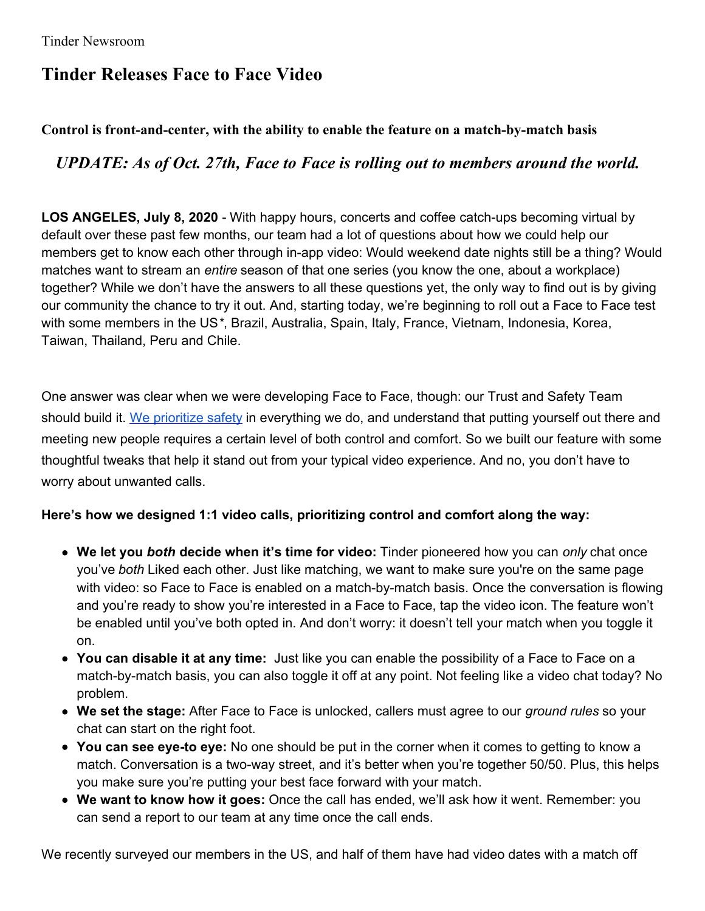## **Tinder Releases Face to Face Video**

## **Control is front-and-center, with the ability to enable the feature on a match-by-match basis**

## *UPDATE: As of Oct. 27th, Face to Face is rolling out to members around the world.*

**LOS ANGELES, July 8, 2020** - With happy hours, concerts and coffee catch-ups becoming virtual by default over these past few months, our team had a lot of questions about how we could help our members get to know each other through in-app video: Would weekend date nights still be a thing? Would matches want to stream an *entire* season of that one series (you know the one, about a workplace) together? While we don't have the answers to all these questions yet, the only way to find out is by giving our community the chance to try it out. And, starting today, we're beginning to roll out a Face to Face test with some members in the US*\**, Brazil, Australia, Spain, Italy, France, Vietnam, Indonesia, Korea, Taiwan, Thailand, Peru and Chile.

One answer was clear when we were developing Face to Face, though: our Trust and Safety Team should build it. We [prioritize](https://www.tinderpressroom.com/2020-01-23-Tinder-Introduces-Safety-Focused-Updates) safety in everything we do, and understand that putting yourself out there and meeting new people requires a certain level of both control and comfort. So we built our feature with some thoughtful tweaks that help it stand out from your typical video experience. And no, you don't have to worry about unwanted calls.

## **Here's how we designed 1:1 video calls, prioritizing control and comfort along the way:**

- **We let you** *both* **decide when it's time for video:** Tinder pioneered how you can *only* chat once you've *both* Liked each other. Just like matching, we want to make sure you're on the same page with video: so Face to Face is enabled on a match-by-match basis. Once the conversation is flowing and you're ready to show you're interested in a Face to Face, tap the video icon. The feature won't be enabled until you've both opted in. And don't worry: it doesn't tell your match when you toggle it on.
- **You can disable it at any time:** Just like you can enable the possibility of a Face to Face on a match-by-match basis, you can also toggle it off at any point. Not feeling like a video chat today? No problem.
- **We set the stage:** After Face to Face is unlocked, callers must agree to our *ground rules* so your chat can start on the right foot.
- **You can see eye-to eye:** No one should be put in the corner when it comes to getting to know a match. Conversation is a two-way street, and it's better when you're together 50/50. Plus, this helps you make sure you're putting your best face forward with your match.
- **We want to know how it goes:** Once the call has ended, we'll ask how it went. Remember: you can send a report to our team at any time once the call ends.

We recently surveyed our members in the US, and half of them have had video dates with a match off